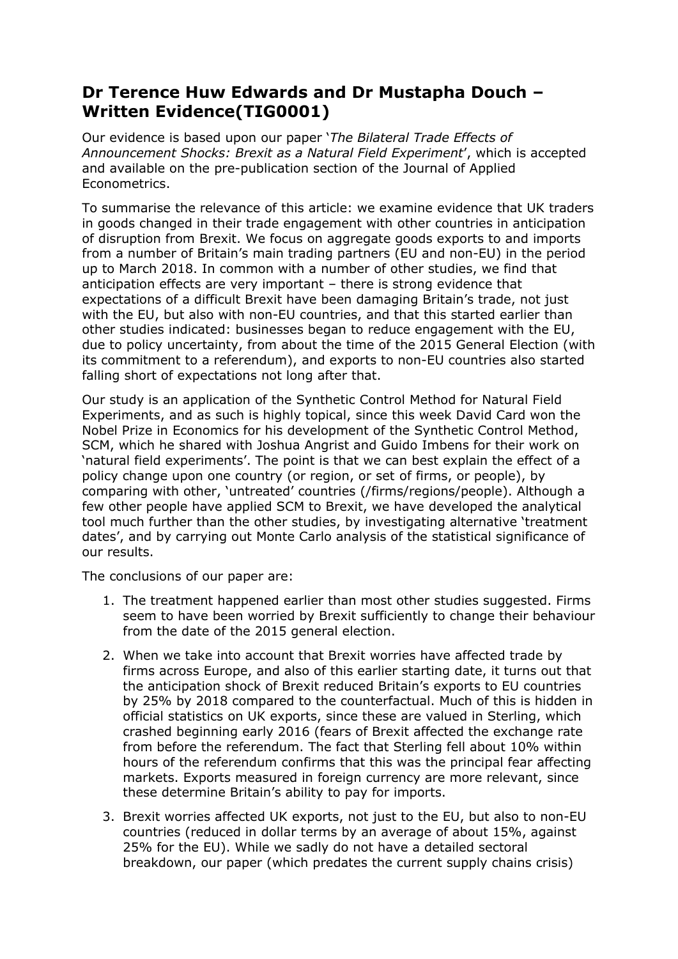## **Dr Terence Huw Edwards and Dr Mustapha Douch – Written Evidence(TIG0001)**

Our evidence is based upon our paper '*The Bilateral Trade Effects of Announcement Shocks: Brexit as a Natural Field Experiment*', which is accepted and available on the pre-publication section of the Journal of Applied Econometrics.

To summarise the relevance of this article: we examine evidence that UK traders in goods changed in their trade engagement with other countries in anticipation of disruption from Brexit. We focus on aggregate goods exports to and imports from a number of Britain's main trading partners (EU and non-EU) in the period up to March 2018. In common with a number of other studies, we find that anticipation effects are very important – there is strong evidence that expectations of a difficult Brexit have been damaging Britain's trade, not just with the EU, but also with non-EU countries, and that this started earlier than other studies indicated: businesses began to reduce engagement with the EU, due to policy uncertainty, from about the time of the 2015 General Election (with its commitment to a referendum), and exports to non-EU countries also started falling short of expectations not long after that.

Our study is an application of the Synthetic Control Method for Natural Field Experiments, and as such is highly topical, since this week David Card won the Nobel Prize in Economics for his development of the Synthetic Control Method, SCM, which he shared with Joshua Angrist and Guido Imbens for their work on 'natural field experiments'. The point is that we can best explain the effect of a policy change upon one country (or region, or set of firms, or people), by comparing with other, 'untreated' countries (/firms/regions/people). Although a few other people have applied SCM to Brexit, we have developed the analytical tool much further than the other studies, by investigating alternative 'treatment dates', and by carrying out Monte Carlo analysis of the statistical significance of our results.

The conclusions of our paper are:

- 1. The treatment happened earlier than most other studies suggested. Firms seem to have been worried by Brexit sufficiently to change their behaviour from the date of the 2015 general election.
- 2. When we take into account that Brexit worries have affected trade by firms across Europe, and also of this earlier starting date, it turns out that the anticipation shock of Brexit reduced Britain's exports to EU countries by 25% by 2018 compared to the counterfactual. Much of this is hidden in official statistics on UK exports, since these are valued in Sterling, which crashed beginning early 2016 (fears of Brexit affected the exchange rate from before the referendum. The fact that Sterling fell about 10% within hours of the referendum confirms that this was the principal fear affecting markets. Exports measured in foreign currency are more relevant, since these determine Britain's ability to pay for imports.
- 3. Brexit worries affected UK exports, not just to the EU, but also to non-EU countries (reduced in dollar terms by an average of about 15%, against 25% for the EU). While we sadly do not have a detailed sectoral breakdown, our paper (which predates the current supply chains crisis)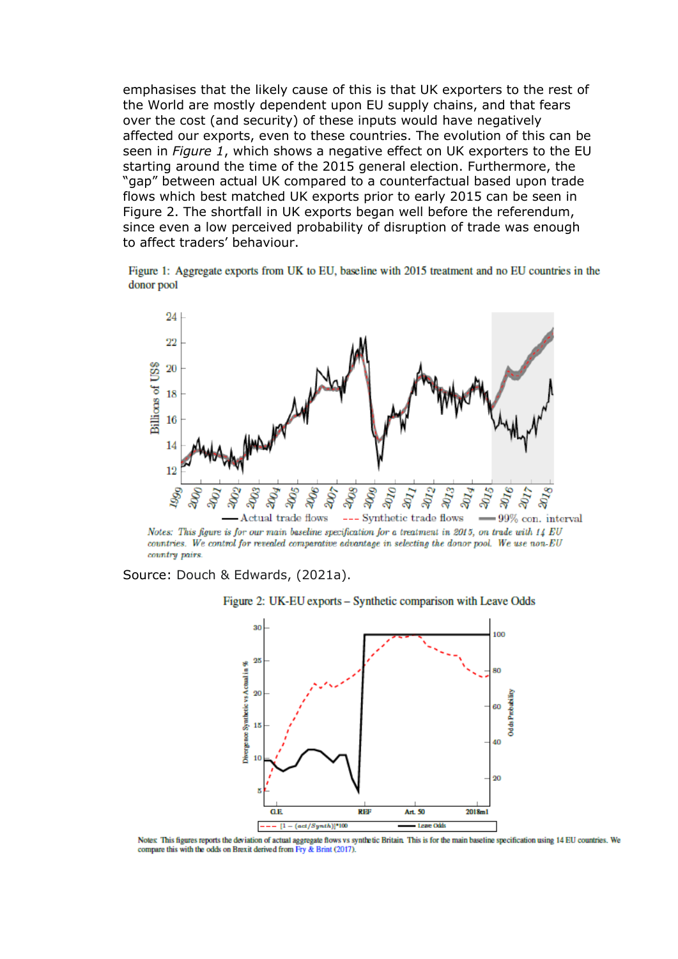emphasises that the likely cause of this is that UK exporters to the rest of the World are mostly dependent upon EU supply chains, and that fears over the cost (and security) of these inputs would have negatively affected our exports, even to these countries. The evolution of this can be seen in *Figure 1*, which shows a negative effect on UK exporters to the EU starting around the time of the 2015 general election. Furthermore, the "gap" between actual UK compared to a counterfactual based upon trade flows which best matched UK exports prior to early 2015 can be seen in Figure 2. The shortfall in UK exports began well before the referendum, since even a low perceived probability of disruption of trade was enough to affect traders' behaviour.

Figure 1: Aggregate exports from UK to EU, baseline with 2015 treatment and no EU countries in the donor pool



Notes: This figure is for our main baseline specification for a treatment in 2015, on trade with 14 EU countries. We control for revealed comparative advantage in selecting the donor pool. We use non-EU country pairs.

Source: Douch & Edwards, (2021a).





Notes: This figures reports the deviation of actual aggregate flows vs synthetic Britain. This is for the main baseline specification using 14 EU countries. We compare this with the odds on Brexit derived from Fry & Brint (2017).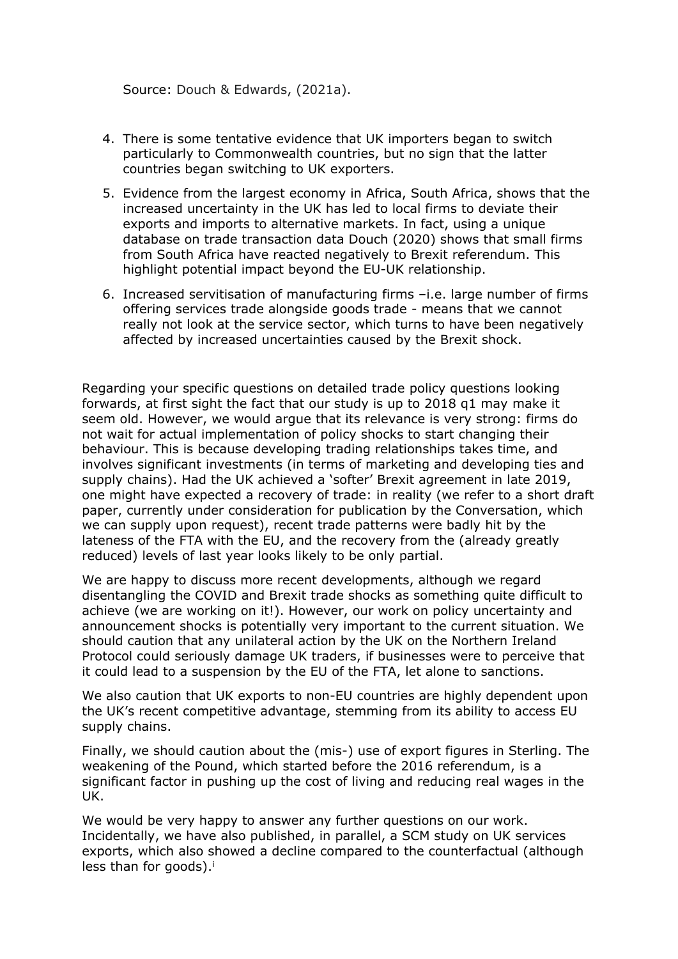Source: Douch & Edwards, (2021a).

- 4. There is some tentative evidence that UK importers began to switch particularly to Commonwealth countries, but no sign that the latter countries began switching to UK exporters.
- 5. Evidence from the largest economy in Africa, South Africa, shows that the increased uncertainty in the UK has led to local firms to deviate their exports and imports to alternative markets. In fact, using a unique database on trade transaction data Douch (2020) shows that small firms from South Africa have reacted negatively to Brexit referendum. This highlight potential impact beyond the EU-UK relationship.
- 6. Increased servitisation of manufacturing firms –i.e. large number of firms offering services trade alongside goods trade - means that we cannot really not look at the service sector, which turns to have been negatively affected by increased uncertainties caused by the Brexit shock.

Regarding your specific questions on detailed trade policy questions looking forwards, at first sight the fact that our study is up to 2018 q1 may make it seem old. However, we would argue that its relevance is very strong: firms do not wait for actual implementation of policy shocks to start changing their behaviour. This is because developing trading relationships takes time, and involves significant investments (in terms of marketing and developing ties and supply chains). Had the UK achieved a 'softer' Brexit agreement in late 2019, one might have expected a recovery of trade: in reality (we refer to a short draft paper, currently under consideration for publication by the Conversation, which we can supply upon request), recent trade patterns were badly hit by the lateness of the FTA with the EU, and the recovery from the (already greatly reduced) levels of last year looks likely to be only partial.

We are happy to discuss more recent developments, although we regard disentangling the COVID and Brexit trade shocks as something quite difficult to achieve (we are working on it!). However, our work on policy uncertainty and announcement shocks is potentially very important to the current situation. We should caution that any unilateral action by the UK on the Northern Ireland Protocol could seriously damage UK traders, if businesses were to perceive that it could lead to a suspension by the EU of the FTA, let alone to sanctions.

We also caution that UK exports to non-EU countries are highly dependent upon the UK's recent competitive advantage, stemming from its ability to access EU supply chains.

Finally, we should caution about the (mis-) use of export figures in Sterling. The weakening of the Pound, which started before the 2016 referendum, is a significant factor in pushing up the cost of living and reducing real wages in the UK.

We would be very happy to answer any further questions on our work. Incidentally, we have also published, in parallel, a SCM study on UK services exports, which also showed a decline compared to the counterfactual (although less than for goods). $^{\mathrm{i}}$